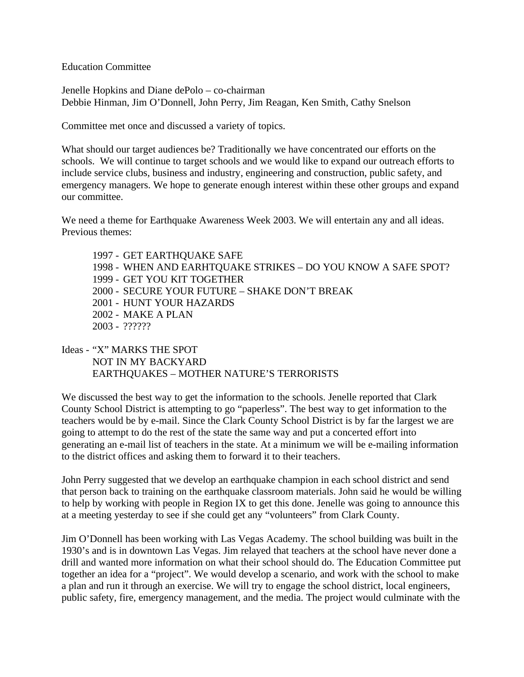Education Committee

Jenelle Hopkins and Diane dePolo – co-chairman Debbie Hinman, Jim O'Donnell, John Perry, Jim Reagan, Ken Smith, Cathy Snelson

Committee met once and discussed a variety of topics.

What should our target audiences be? Traditionally we have concentrated our efforts on the schools. We will continue to target schools and we would like to expand our outreach efforts to include service clubs, business and industry, engineering and construction, public safety, and emergency managers. We hope to generate enough interest within these other groups and expand our committee.

We need a theme for Earthquake Awareness Week 2003. We will entertain any and all ideas. Previous themes:

1997 - GET EARTHQUAKE SAFE 1998 - WHEN AND EARHTQUAKE STRIKES – DO YOU KNOW A SAFE SPOT? 1999 - GET YOU KIT TOGETHER 2000 - SECURE YOUR FUTURE – SHAKE DON'T BREAK 2001 - HUNT YOUR HAZARDS 2002 - MAKE A PLAN 2003 - ??????

Ideas - "X" MARKS THE SPOT NOT IN MY BACKYARD EARTHQUAKES – MOTHER NATURE'S TERRORISTS

We discussed the best way to get the information to the schools. Jenelle reported that Clark County School District is attempting to go "paperless". The best way to get information to the teachers would be by e-mail. Since the Clark County School District is by far the largest we are going to attempt to do the rest of the state the same way and put a concerted effort into generating an e-mail list of teachers in the state. At a minimum we will be e-mailing information to the district offices and asking them to forward it to their teachers.

John Perry suggested that we develop an earthquake champion in each school district and send that person back to training on the earthquake classroom materials. John said he would be willing to help by working with people in Region IX to get this done. Jenelle was going to announce this at a meeting yesterday to see if she could get any "volunteers" from Clark County.

Jim O'Donnell has been working with Las Vegas Academy. The school building was built in the 1930's and is in downtown Las Vegas. Jim relayed that teachers at the school have never done a drill and wanted more information on what their school should do. The Education Committee put together an idea for a "project". We would develop a scenario, and work with the school to make a plan and run it through an exercise. We will try to engage the school district, local engineers, public safety, fire, emergency management, and the media. The project would culminate with the